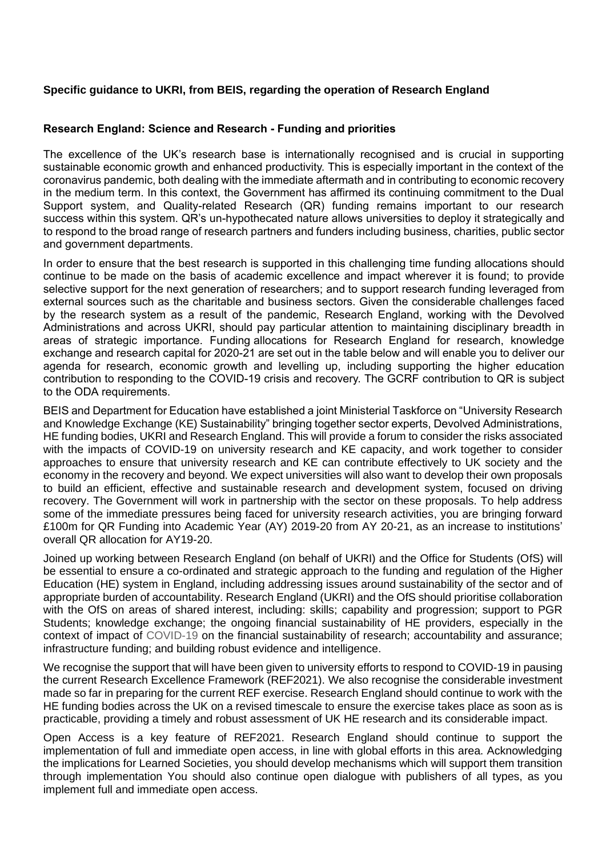# **Specific guidance to UKRI, from BEIS, regarding the operation of Research England**

## **Research England: Science and Research - Funding and priorities**

 The excellence of the UK's research base is internationally recognised and is crucial in supporting sustainable economic growth and enhanced productivity. This is especially important in the context of the coronavirus pandemic, both dealing with the immediate aftermath and in contributing to economic recovery in the medium term. In this context, the Government has affirmed its continuing commitment to the Dual Support system, and Quality-related Research (QR) funding remains important to our research success within this system. QR's un-hypothecated nature allows universities to deploy it strategically and to respond to the broad range of research partners and funders including business, charities, public sector and government departments.

 In order to ensure that the best research is supported in this challenging time funding allocations should continue to be made on the basis of academic excellence and impact wherever it is found; to provide selective support for the next generation of researchers; and to support research funding leveraged from external sources such as the charitable and business sectors. Given the considerable challenges faced by the research system as a result of the pandemic, Research England, working with the Devolved Administrations and across UKRI, should pay particular attention to maintaining disciplinary breadth in areas of strategic importance. Funding allocations for Research England for research, knowledge exchange and research capital for 2020-21 are set out in the table below and will enable you to deliver our agenda for research, economic growth and levelling up, including supporting the higher education contribution to responding to the COVID-19 crisis and recovery. The GCRF contribution to QR is subject to the ODA requirements.

BEIS and Department for Education have established a joint Ministerial Taskforce on "University Research and Knowledge Exchange (KE) Sustainability" bringing together sector experts, Devolved Administrations, HE funding bodies, UKRI and Research England. This will provide a forum to consider the risks associated with the impacts of COVID-19 on university research and KE capacity, and work together to consider approaches to ensure that university research and KE can contribute effectively to UK society and the economy in the recovery and beyond. We expect universities will also want to develop their own proposals to build an efficient, effective and sustainable research and development system, focused on driving recovery. The Government will work in partnership with the sector on these proposals. To help address some of the immediate pressures being faced for university research activities, you are bringing forward £100m for QR Funding into Academic Year (AY) 2019-20 from AY 20-21, as an increase to institutions' overall QR allocation for AY19-20.

Joined up working between Research England (on behalf of UKRI) and the Office for Students (OfS) will be essential to ensure a co-ordinated and strategic approach to the funding and regulation of the Higher Education (HE) system in England, including addressing issues around sustainability of the sector and of appropriate burden of accountability. Research England (UKRI) and the OfS should prioritise collaboration with the OfS on areas of shared interest, including: skills; capability and progression; support to PGR Students; knowledge exchange; the ongoing financial sustainability of HE providers, especially in the context of impact of COVID-19 on the financial sustainability of research; accountability and assurance; infrastructure funding; and building robust evidence and intelligence.

We recognise the support that will have been given to university efforts to respond to COVID-19 in pausing the current Research Excellence Framework (REF2021). We also recognise the considerable investment made so far in preparing for the current REF exercise. Research England should continue to work with the HE funding bodies across the UK on a revised timescale to ensure the exercise takes place as soon as is practicable, providing a timely and robust assessment of UK HE research and its considerable impact.

Open Access is a key feature of REF2021. Research England should continue to support the implementation of full and immediate open access, in line with global efforts in this area. Acknowledging the implications for Learned Societies, you should develop mechanisms which will support them transition through implementation You should also continue open dialogue with publishers of all types, as you implement full and immediate open access.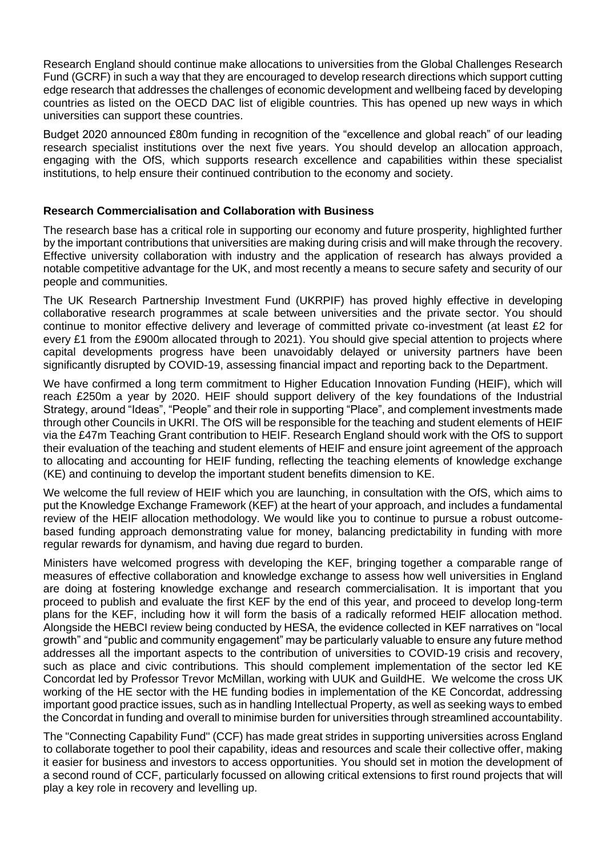Research England should continue make allocations to universities from the Global Challenges Research Fund (GCRF) in such a way that they are encouraged to develop research directions which support cutting edge research that addresses the challenges of economic development and wellbeing faced by developing countries as listed on the OECD DAC list of eligible countries. This has opened up new ways in which universities can support these countries.

Budget 2020 announced £80m funding in recognition of the "excellence and global reach" of our leading research specialist institutions over the next five years. You should develop an allocation approach, engaging with the OfS, which supports research excellence and capabilities within these specialist institutions, to help ensure their continued contribution to the economy and society.

## **Research Commercialisation and Collaboration with Business**

The research base has a critical role in supporting our economy and future prosperity, highlighted further by the important contributions that universities are making during crisis and will make through the recovery. Effective university collaboration with industry and the application of research has always provided a notable competitive advantage for the UK, and most recently a means to secure safety and security of our people and communities.

The UK Research Partnership Investment Fund (UKRPIF) has proved highly effective in developing collaborative research programmes at scale between universities and the private sector. You should continue to monitor effective delivery and leverage of committed private co-investment (at least £2 for every £1 from the £900m allocated through to 2021). You should give special attention to projects where capital developments progress have been unavoidably delayed or university partners have been significantly disrupted by COVID-19, assessing financial impact and reporting back to the Department.

We have confirmed a long term commitment to Higher Education Innovation Funding (HEIF), which will reach £250m a year by 2020. HEIF should support delivery of the key foundations of the Industrial Strategy, around "Ideas", "People" and their role in supporting "Place", and complement investments made through other Councils in UKRI. The OfS will be responsible for the teaching and student elements of HEIF via the £47m Teaching Grant contribution to HEIF. Research England should work with the OfS to support their evaluation of the teaching and student elements of HEIF and ensure joint agreement of the approach to allocating and accounting for HEIF funding, reflecting the teaching elements of knowledge exchange (KE) and continuing to develop the important student benefits dimension to KE.

We welcome the full review of HEIF which you are launching, in consultation with the OfS, which aims to put the Knowledge Exchange Framework (KEF) at the heart of your approach, and includes a fundamental review of the HEIF allocation methodology. We would like you to continue to pursue a robust outcomebased funding approach demonstrating value for money, balancing predictability in funding with more regular rewards for dynamism, and having due regard to burden.

Ministers have welcomed progress with developing the KEF, bringing together a comparable range of measures of effective collaboration and knowledge exchange to assess how well universities in England are doing at fostering knowledge exchange and research commercialisation. It is important that you proceed to publish and evaluate the first KEF by the end of this year, and proceed to develop long-term plans for the KEF, including how it will form the basis of a radically reformed HEIF allocation method. Alongside the HEBCI review being conducted by HESA, the evidence collected in KEF narratives on "local growth" and "public and community engagement" may be particularly valuable to ensure any future method addresses all the important aspects to the contribution of universities to COVID-19 crisis and recovery, such as place and civic contributions. This should complement implementation of the sector led KE Concordat led by Professor Trevor McMillan, working with UUK and GuildHE. We welcome the cross UK working of the HE sector with the HE funding bodies in implementation of the KE Concordat, addressing important good practice issues, such as in handling Intellectual Property, as well as seeking ways to embed the Concordat in funding and overall to minimise burden for universities through streamlined accountability.

The "Connecting Capability Fund" (CCF) has made great strides in supporting universities across England to collaborate together to pool their capability, ideas and resources and scale their collective offer, making it easier for business and investors to access opportunities. You should set in motion the development of a second round of CCF, particularly focussed on allowing critical extensions to first round projects that will play a key role in recovery and levelling up.